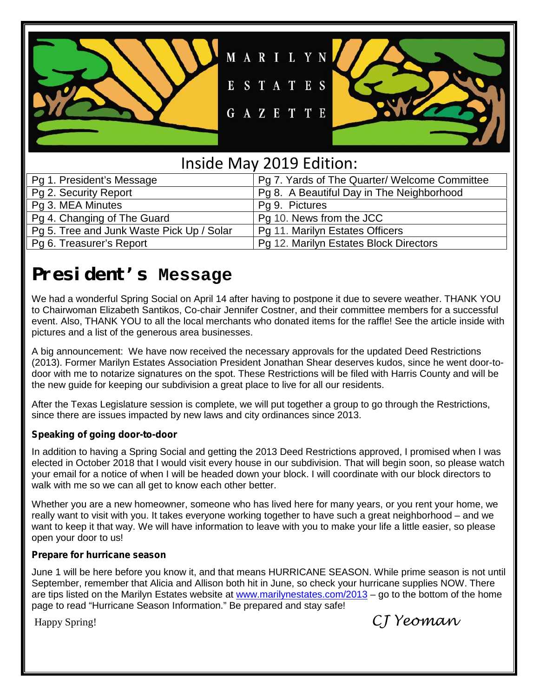

## Inside May 2019 Edition:

| Pg 1. President's Message                 | Pg 7. Yards of The Quarter/ Welcome Committee |
|-------------------------------------------|-----------------------------------------------|
| Pg 2. Security Report                     | Pg 8. A Beautiful Day in The Neighborhood     |
| Pg 3. MEA Minutes                         | Pg 9. Pictures                                |
| Pg 4. Changing of The Guard               | Pg 10. News from the JCC                      |
| Pg 5. Tree and Junk Waste Pick Up / Solar | Pg 11. Marilyn Estates Officers               |
| Pg 6. Treasurer's Report                  | Pg 12. Marilyn Estates Block Directors        |

## **President's Message**

We had a wonderful Spring Social on April 14 after having to postpone it due to severe weather. THANK YOU to Chairwoman Elizabeth Santikos, Co-chair Jennifer Costner, and their committee members for a successful event. Also, THANK YOU to all the local merchants who donated items for the raffle! See the article inside with pictures and a list of the generous area businesses.

A big announcement: We have now received the necessary approvals for the updated Deed Restrictions (2013). Former Marilyn Estates Association President Jonathan Shear deserves kudos, since he went door-to door with me to notarize signatures on the spot. These Restrictions will be filed with Harris County and will be the new guide for keeping our subdivision a great place to live for all our residents.

After the Texas Legislature session is complete, we will put together a group to go through the Restrictions, since there are issues impacted by new laws and city ordinances since 2013.

#### **Speaking of going door-to-door**

In addition to having a Spring Social and getting the 2013 Deed Restrictions approved, I promised when I was elected in October 2018 that I would visit every house in our subdivision. That will begin soon, so please watch your email for a notice of when I will be headed down your block. I will coordinate with our block directors to walk with me so we can all get to know each other better.

Whether you are a new homeowner, someone who has lived here for many years, or you rent your home, we really want to visit with you. It takes everyone working together to have such a great neighborhood – and we want to keep it that way. We will have information to leave with you to make your life a little easier, so please open your door to us!

#### **Prepare for hurricane season**

June 1 will be here before you know it, and that means HURRICANE SEASON. While prime season is not until September, remember that Alicia and Allison both hit in June, so check your hurricane supplies NOW. There are tips listed on the Marilyn Estates website at www.marilynestates.com/2013 – go to the bottom of the home page to read "Hurricane Season Information." Be prepared and stay safe!

Happy Spring!  $C\overline{J}$  Yeoman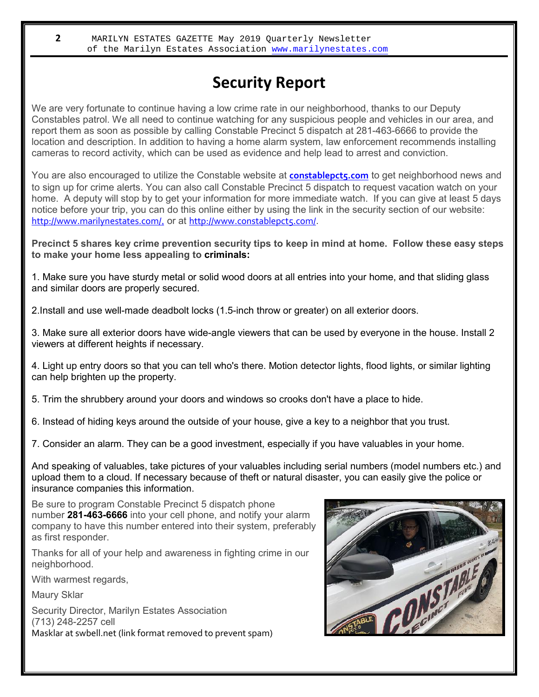## **Security Report**

We are very fortunate to continue having a low crime rate in our neighborhood, thanks to our Deputy Constables patrol. We all need to continue watching for any suspicious people and vehicles in our area, and report them as soon as possible by calling Constable Precinct 5 dispatch at 281-463-6666 to provide the location and description. In addition to having a home alarm system, law enforcement recommends installing cameras to record activity, which can be used as evidence and help lead to arrest and conviction.

You are also encouraged to utilize the Constable website at **constablepcts.com** to get neighborhood news and to sign up for crime alerts. You can also call Constable Precinct 5 dispatch to request vacation watch on your home. A deputy will stop by to get your information for more immediate watch. If you can give at least 5 days notice before your trip, you can do this online either by using the link in the security section of our website: http://www.marilynestates.com/, or at http://www.constablepct5.com/.

Precinct 5 shares key crime prevention security tips to keep in mind at home. Follow these easy steps **to make your home less appealing to criminals:**

1. Make sure you have sturdy metal or solid wood doors at all entries into your home, and that sliding glass and similar doors are properly secured.

2.Install and use well-made deadbolt locks (1.5-inch throw or greater) on all exterior doors.

3. Make sure all exterior doors have wide-angle viewers that can be used by everyone in the house. Install 2 viewers at different heights if necessary.

4. Light up entry doors so that you can tell who's there. Motion detector lights, flood lights, or similar lighting can help brighten up the property.

5. Trim the shrubbery around your doors and windows so crooks don't have a place to hide.

6. Instead of hiding keys around the outside of your house, give a key to a neighbor that you trust.

7. Consider an alarm. They can be a good investment, especially if you have valuables in your home.

And speaking of valuables, take pictures of your valuables including serial numbers (model numbers etc.) and upload them to a cloud. If necessary because of theft or natural disaster, you can easily give the police or insurance companies this information.

Be sure to program Constable Precinct 5 dispatch phone number **281-463-6666** into your cell phone, and notify your alarm company to have this number entered into their system, preferably as first responder.

Thanks for all of your help and awareness in fighting crime in our neighborhood.

With warmest regards,

Maury Sklar

Security Director, Marilyn Estates Association (713) 248-2257 cell Masklar at swbell.net (link format removed to prevent spam)

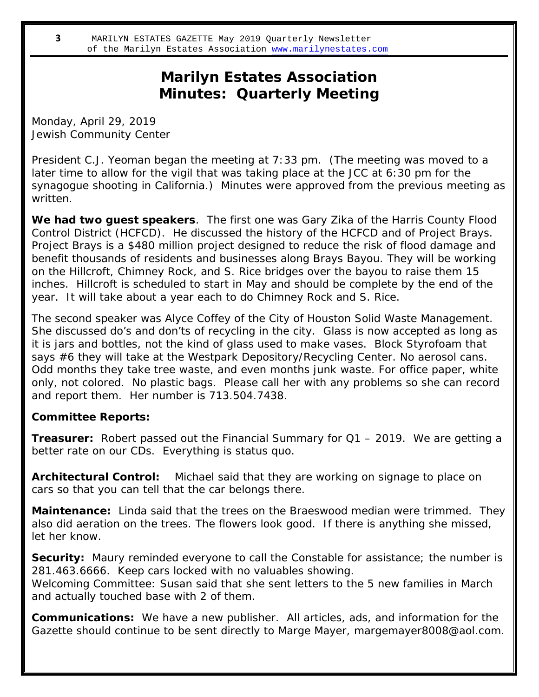## **Marilyn Estates Association Minutes: Quarterly Meeting**

Monday, April 29, 2019 Jewish Community Center

President C.J. Yeoman began the meeting at 7:33 pm. (The meeting was moved to a later time to allow for the vigil that was taking place at the JCC at 6:30 pm for the synagogue shooting in California.) Minutes were approved from the previous meeting as written.

**We had two guest speakers**. The first one was Gary Zika of the Harris County Flood Control District (HCFCD). He discussed the history of the HCFCD and of Project Brays. Project Brays is a \$480 million project designed to reduce the risk of flood damage and benefit thousands of residents and businesses along Brays Bayou. They will be working on the Hillcroft, Chimney Rock, and S. Rice bridges over the bayou to raise them 15 inches. Hillcroft is scheduled to start in May and should be complete by the end of the year. It will take about a year each to do Chimney Rock and S. Rice.

The second speaker was Alyce Coffey of the City of Houston Solid Waste Management. She discussed do's and don'ts of recycling in the city. Glass is now accepted as long as it is jars and bottles, not the kind of glass used to make vases. Block Styrofoam that says #6 they will take at the Westpark Depository/Recycling Center. No aerosol cans. Odd months they take tree waste, and even months junk waste. For office paper, white only, not colored. No plastic bags. Please call her with any problems so she can record and report them. Her number is 713.504.7438.

**Committee Reports:**

**Treasurer:** Robert passed out the Financial Summary for Q1 – 2019. We are getting a better rate on our CDs. Everything is status quo.

**Architectural Control:** Michael said that they are working on signage to place on cars so that you can tell that the car belongs there.

**Maintenance:** Linda said that the trees on the Braeswood median were trimmed. They also did aeration on the trees. The flowers look good. If there is anything she missed, let her know.

**Security:** Maury reminded everyone to call the Constable for assistance; the number is 281.463.6666. Keep cars locked with no valuables showing.

Welcoming Committee: Susan said that she sent letters to the 5 new families in March and actually touched base with 2 of them.

**Communications:** We have a new publisher. All articles, ads, and information for the Gazette should continue to be sent directly to Marge Mayer, margemayer8008@aol.com.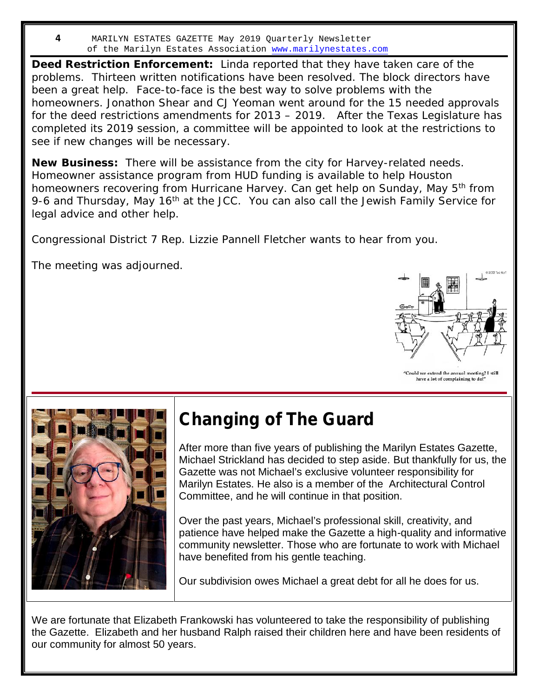**Deed Restriction Enforcement:** Linda reported that they have taken care of the problems. Thirteen written notifications have been resolved. The block directors have been a great help. Face-to-face is the best way to solve problems with the homeowners. Jonathon Shear and CJ Yeoman went around for the 15 needed approvals for the deed restrictions amendments for 2013 – 2019. After the Texas Legislature has completed its 2019 session, a committee will be appointed to look at the restrictions to see if new changes will be necessary.

**New Business:** There will be assistance from the city for Harvey-related needs. Homeowner assistance program from HUD funding is available to help Houston homeowners recovering from Hurricane Harvey. Can get help on Sunday, May 5<sup>th</sup> from 9-6 and Thursday, May 16<sup>th</sup> at the JCC. You can also call the Jewish Family Service for legal advice and other help.

Congressional District 7 Rep. Lizzie Pannell Fletcher wants to hear from you.

The meeting was adjourned.



"Could we extend the annual meeting? I still have a lot of complaining to do



## **Changing of The Guard**

After more than five years of publishing the Marilyn Estates Gazette, Michael Strickland has decided to step aside. But thankfully for us, the Gazette was not Michael's exclusive volunteer responsibility for Marilyn Estates. He also is a member of the Architectural Control Committee, and he will continue in that position.

Over the past years, Michael's professional skill, creativity, and patience have helped make the Gazette a high-quality and informative community newsletter. Those who are fortunate to work with Michael have benefited from his gentle teaching.

Our subdivision owes Michael a great debt for all he does for us.

We are fortunate that Elizabeth Frankowski has volunteered to take the responsibility of publishing the Gazette. Elizabeth and her husband Ralph raised their children here and have been residents of our community for almost 50 years.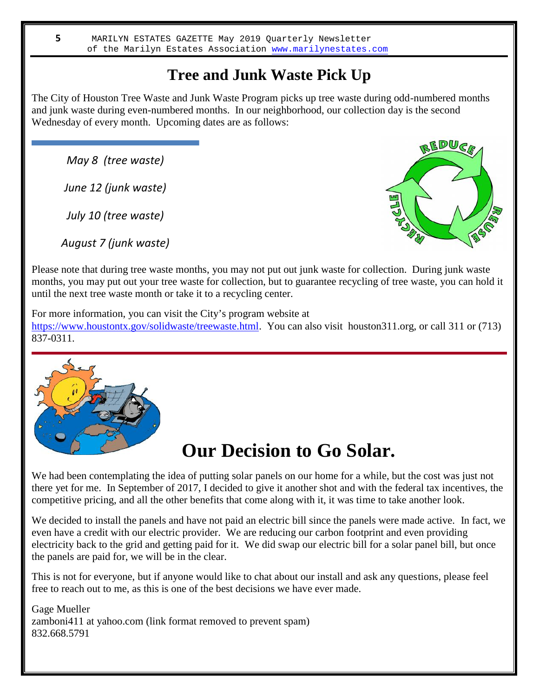## **Tree and Junk Waste Pick Up**

The City of Houston Tree Waste and Junk Waste Program picks up tree waste during odd-numbered months and junk waste during even-numbered months. In our neighborhood, our collection day is the second Wednesday of every month. Upcoming dates are as follows:

*May 8 (tree waste)*

*June 12 (junk waste)*

*July 10 (tree waste)*

*August 7 (junk waste)*



Please note that during tree waste months, you may not put out junk waste for collection. During junk waste months, you may put out your tree waste for collection, but to guarantee recycling of tree waste, you can hold it until the next tree waste month or take it to a recycling center.

For more information, you can visit the City's program website at

https://www.houstontx.gov/solidwaste/treewaste.html. You can also visit houston311.org, or call 311 or (713) 837-0311.



## **Our Decision to Go Solar.**

We had been contemplating the idea of putting solar panels on our home for a while, but the cost was just not there yet for me. In September of 2017, I decided to give it another shot and with the federal tax incentives, the competitive pricing, and all the other benefits that come along with it, it was time to take another look.

We decided to install the panels and have not paid an electric bill since the panels were made active. In fact, we even have a credit with our electric provider. We are reducing our carbon footprint and even providing electricity back to the grid and getting paid for it. We did swap our electric bill for a solar panel bill, but once the panels are paid for, we will be in the clear.

This is not for everyone, but if anyone would like to chat about our install and ask any questions, please feel free to reach out to me, as this is one of the best decisions we have ever made.

Gage Mueller zamboni411 at yahoo.com (link format removed to prevent spam) 832.668.5791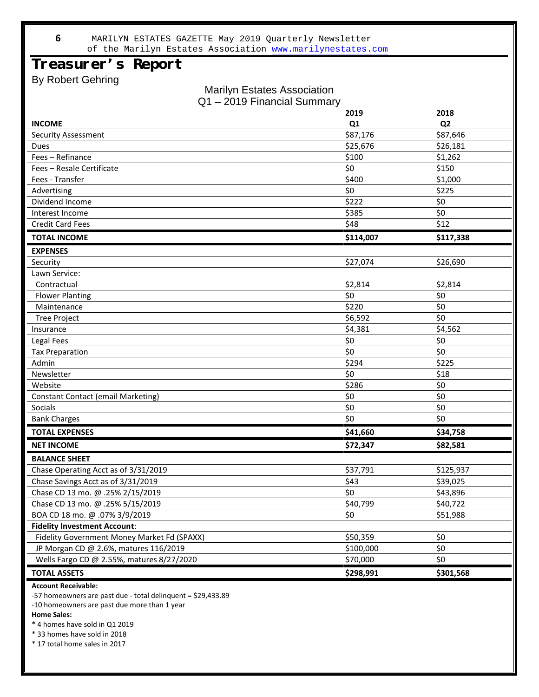### **Treasurer's Report**

By Robert Gehring

#### Marilyn Estates Association Q1 – 2019 Financial Summary

|                                             | 2019           | 2018           |
|---------------------------------------------|----------------|----------------|
| <b>INCOME</b>                               | Q <sub>1</sub> | Q <sub>2</sub> |
| <b>Security Assessment</b>                  | \$87,176       | \$87,646       |
| <b>Dues</b>                                 | \$25,676       | \$26,181       |
| Fees - Refinance                            | \$100          | \$1,262        |
| Fees - Resale Certificate                   | \$0            | \$150          |
| Fees - Transfer                             | \$400          | \$1,000        |
| Advertising                                 | \$0            | \$225          |
| Dividend Income                             | \$222          | \$0            |
| Interest Income                             | \$385          | \$0            |
| <b>Credit Card Fees</b>                     | \$48           | \$12           |
| <b>TOTAL INCOME</b>                         | \$114,007      | \$117,338      |
| <b>EXPENSES</b>                             |                |                |
| Security                                    | \$27,074       | \$26,690       |
| Lawn Service:                               |                |                |
| Contractual                                 | \$2,814        | \$2,814        |
| <b>Flower Planting</b>                      | \$0            | \$0            |
| Maintenance                                 | \$220          | \$0            |
| <b>Tree Project</b>                         | \$6,592        | \$0            |
| Insurance                                   | \$4,381        | \$4,562        |
| Legal Fees                                  | \$0            | \$0            |
| <b>Tax Preparation</b>                      | \$0            | \$0            |
| Admin                                       | \$294          | \$225          |
| Newsletter                                  | \$0            | \$18           |
| Website                                     | \$286          | \$0            |
| <b>Constant Contact (email Marketing)</b>   | \$0            | \$0            |
| Socials                                     | \$0            | \$0            |
| <b>Bank Charges</b>                         | \$0            | \$0            |
| <b>TOTAL EXPENSES</b>                       | \$41,660       | \$34,758       |
| <b>NET INCOME</b>                           | \$72,347       | \$82,581       |
| <b>BALANCE SHEET</b>                        |                |                |
| Chase Operating Acct as of 3/31/2019        | \$37,791       | \$125,937      |
| Chase Savings Acct as of 3/31/2019          | \$43           | \$39,025       |
| Chase CD 13 mo. @ .25% 2/15/2019            | \$0            | \$43,896       |
| Chase CD 13 mo. @ .25% 5/15/2019            | \$40,799       | \$40,722       |
| BOA CD 18 mo. @ .07% 3/9/2019               | \$0            | \$51,988       |
| <b>Fidelity Investment Account:</b>         |                |                |
| Fidelity Government Money Market Fd (SPAXX) | \$50,359       | \$0            |
| JP Morgan CD @ 2.6%, matures 116/2019       | \$100,000      | \$0            |
| Wells Fargo CD @ 2.55%, matures 8/27/2020   | \$70,000       | \$0            |
| <b>TOTAL ASSETS</b>                         | \$298,991      | \$301,568      |

#### **Account Receivable:**

-57 homeowners are past due - total delinquent = \$29,433.89

-10 homeowners are past due more than 1 year

#### **Home Sales:**

\* 4 homes have sold in Q1 2019

\* 33 homes have sold in 2018

\* 17 total home sales in 2017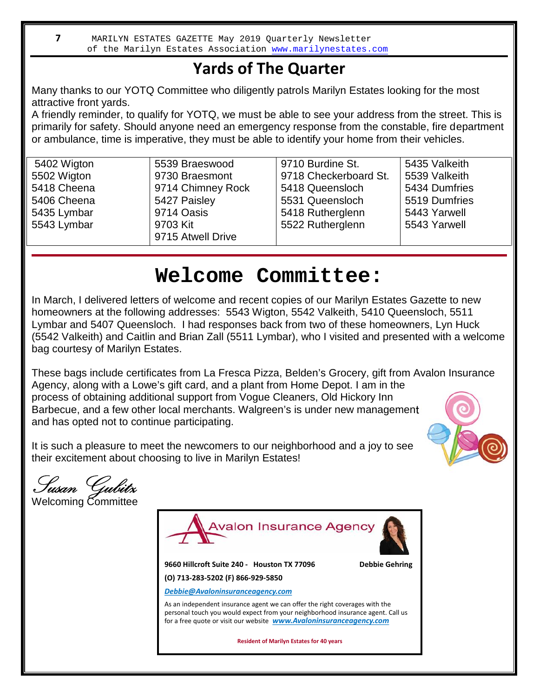## **Yards of The Quarter**

Many thanks to our YOTQ Committee who diligently patrols Marilyn Estates looking for the most attractive front yards.

A friendly reminder, to qualify for YOTQ, we must be able to see your address from the street. This is primarily for safety. Should anyone need an emergency response from the constable, fire department or ambulance, time is imperative, they must be able to identify your home from their vehicles.

| 5402 Wigton | 5539 Braeswood    | 9710 Burdine St.      | 5435 Valkeith |
|-------------|-------------------|-----------------------|---------------|
| 5502 Wigton | 9730 Braesmont    | 9718 Checkerboard St. | 5539 Valkeith |
| 5418 Cheena | 9714 Chimney Rock | 5418 Queensloch       | 5434 Dumfries |
| 5406 Cheena | 5427 Paisley      | 5531 Queensloch       | 5519 Dumfries |
| 5435 Lymbar | 9714 Oasis        | 5418 Rutherglenn      | 5443 Yarwell  |
| 5543 Lymbar | 9703 Kit          | 5522 Rutherglenn      | 5543 Yarwell  |
|             | 9715 Atwell Drive |                       |               |

## **Welcome Committee:**

In March, I delivered letters of welcome and recent copies of our Marilyn Estates Gazette to new homeowners at the following addresses: 5543 Wigton, 5542 Valkeith, 5410 Queensloch, 5511 Lymbar and 5407 Queensloch. I had responses back from two of these homeowners, Lyn Huck (5542 Valkeith) and Caitlin and Brian Zall (5511 Lymbar), who I visited and presented with a welcome bag courtesy of Marilyn Estates.

These bags include certificates from La Fresca Pizza, Belden's Grocery, gift from Avalon Insurance Agency, along with a Lowe's gift card, and a plant from Home Depot. I am in the process of obtaining additional support from Vogue Cleaners, Old Hickory Inn Barbecue, and a few other local merchants. Walgreen's is under new management and has opted not to continue participating.



It is such a pleasure to meet the newcomers to our neighborhood and a joy to see their excitement about choosing to live in Marilyn Estates!

**Susan Gubitz** Welcoming Committee



**Resident of Marilyn Estates for 40 years**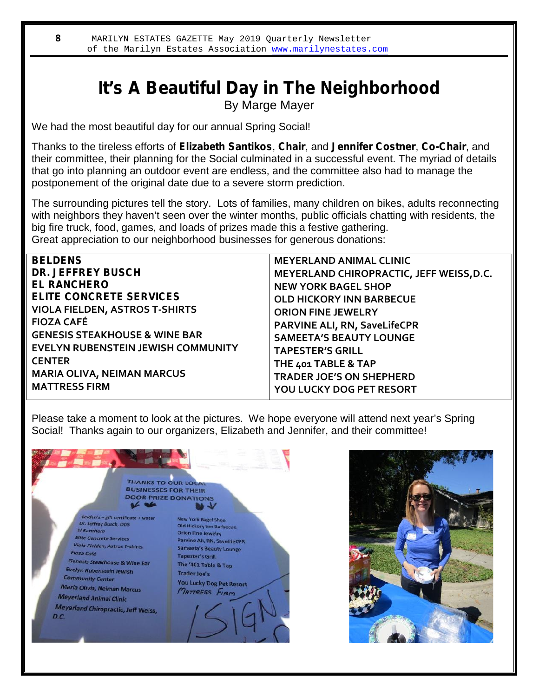## **It's A Beautiful Day in The Neighborhood** By Marge Mayer

We had the most beautiful day for our annual Spring Social!

Thanks to the tireless efforts of **Elizabeth Santikos**, **Chair**, and **Jennifer Costner**, **Co-Chair**, and their committee, their planning for the Social culminated in a successful event. The myriad of details that go into planning an outdoor event are endless, and the committee also had to manage the postponement of the original date due to a severe storm prediction.

The surrounding pictures tell the story. Lots of families, many children on bikes, adults reconnecting with neighbors they haven't seen over the winter months, public officials chatting with residents, the big fire truck, food, games, and loads of prizes made this a festive gathering. Great appreciation to our neighborhood businesses for generous donations:

| <b>BELDENS</b>                            | <b>MEYERLAND ANIMAL CLINIC</b>           |
|-------------------------------------------|------------------------------------------|
| <b>DR. JEFFREY BUSCH</b>                  | MEYERLAND CHIROPRACTIC, JEFF WEISS, D.C. |
| <b>EL RANCHERO</b>                        | <b>NEW YORK BAGEL SHOP</b>               |
| <b>ELITE CONCRETE SERVICES</b>            | <b>OLD HICKORY INN BARBECUE</b>          |
| <b>VIOLA FIELDEN, ASTROS T-SHIRTS</b>     | <b>ORION FINE JEWELRY</b>                |
| <b>FIOZA CAFÉ</b>                         | <b>PARVINE ALI, RN, SaveLifeCPR</b>      |
| <b>GENESIS STEAKHOUSE &amp; WINE BAR</b>  | <b>SAMEETA'S BEAUTY LOUNGE</b>           |
| <b>EVELYN RUBENSTEIN JEWISH COMMUNITY</b> | <b>TAPESTER'S GRILL</b>                  |
| <b>CENTER</b>                             | THE 401 TABLE & TAP                      |
| <b>MARIA OLIVA, NEIMAN MARCUS</b>         | <b>TRADER JOE'S ON SHEPHERD</b>          |
| <b>MATTRESS FIRM</b>                      | YOU LUCKY DOG PET RESORT                 |
|                                           |                                          |

Please take a moment to look at the pictures. We hope everyone will attend next year's Spring Social! Thanks again to our organizers, Elizabeth and Jennifer, and their committee!



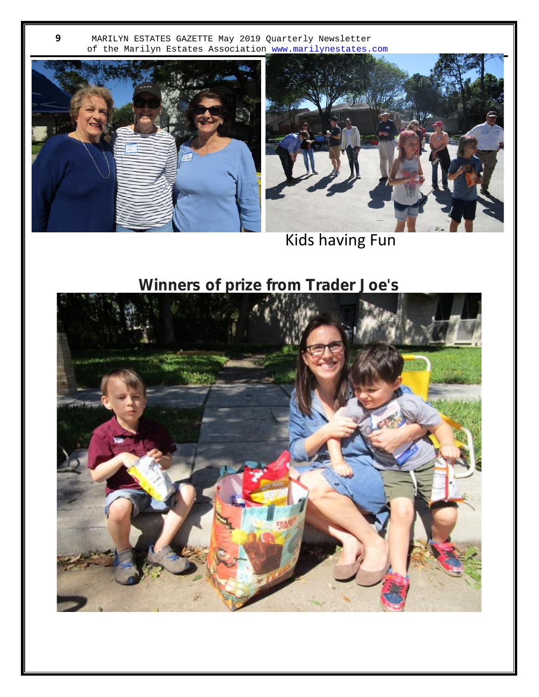



Kids having Fun

## **Winners of prize from Trader Joe's**

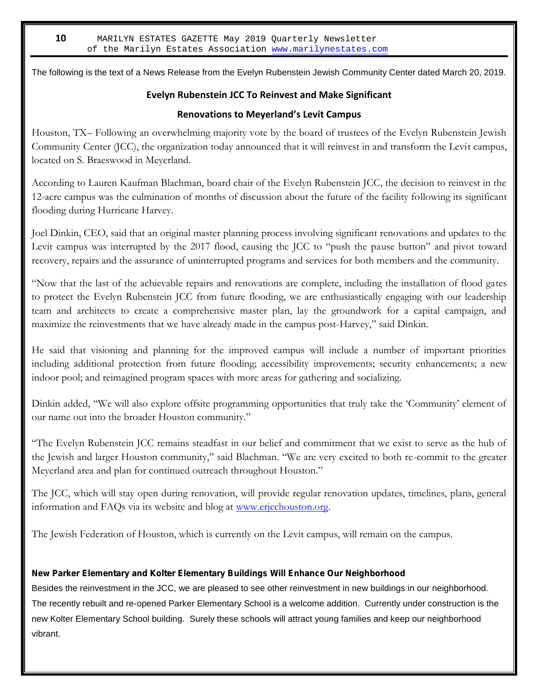The following is the text of a News Release from the Evelyn Rubenstein Jewish Community Center dated March 20, 2019.

#### **Evelyn Rubenstein JCC To Reinvest and Make Significant**

#### **Renovations to Meyerland's Levit Campus**

Houston, TX– Following an overwhelming majority vote by the board of trustees of the Evelyn Rubenstein Jewish Community Center (JCC), the organization today announced that it will reinvest in and transform the Levit campus, located on S. Braeswood in Meyerland.

According to Lauren Kaufman Blachman, board chair of the Evelyn Rubenstein JCC, the decision to reinvest in the 12-acre campus was the culmination of months of discussion about the future of the facility following its significant flooding during Hurricane Harvey.

Joel Dinkin, CEO, said that an original master planning process involving significant renovations and updates to the Levit campus was interrupted by the 2017 flood, causing the JCC to "push the pause button" and pivot toward recovery, repairs and the assurance of uninterrupted programs and services for both members and the community.

"Now that the last of the achievable repairs and renovations are complete, including the installation of flood gates to protect the Evelyn Rubenstein JCC from future flooding, we are enthusiastically engaging with our leadership team and architects to create a comprehensive master plan, lay the groundwork for a capital campaign, and maximize the reinvestments that we have already made in the campus post-Harvey," said Dinkin.

He said that visioning and planning for the improved campus will include a number of important priorities including additional protection from future flooding; accessibility improvements; security enhancements; a new indoor pool; and reimagined program spaces with more areas for gathering and socializing.

Dinkin added, "We will also explore offsite programming opportunities that truly take the 'Community' element of our name out into the broader Houston community."

"The Evelyn Rubenstein JCC remains steadfast in our belief and commitment that we exist to serve as the hub of the Jewish and larger Houston community," said Blachman. "We are very excited to both re-commit to the greater Meyerland area and plan for continued outreach throughout Houston."

The JCC, which will stay open during renovation, will provide regular renovation updates, timelines, plans, general information and FAQs via its website and blog at www.erjcchouston.org.

The Jewish Federation of Houston, which is currently on the Levit campus, will remain on the campus.

#### **New Parker Elementary and Kolter Elementary Buildings Will Enhance Our Neighborhood**

Besides the reinvestment in the JCC, we are pleased to see other reinvestment in new buildings in our neighborhood. The recently rebuilt and re-opened Parker Elementary School is a welcome addition. Currently under construction is the new Kolter Elementary School building. Surely these schools will attract young families and keep our neighborhood vibrant.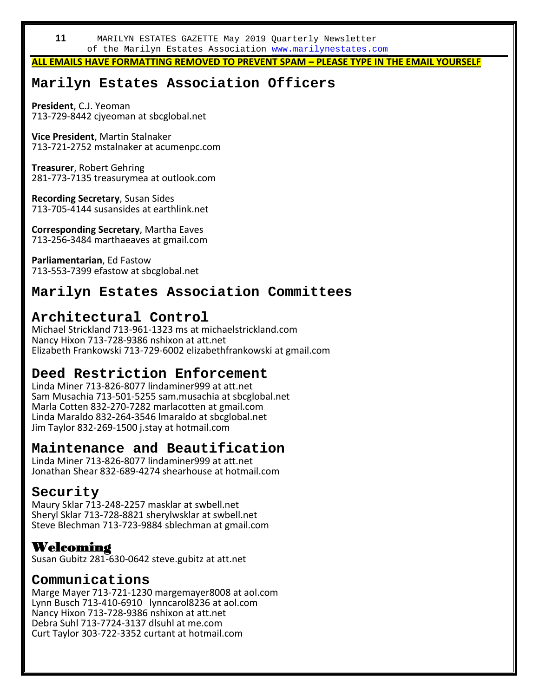**ALL EMAILS HAVE FORMATTING REMOVED TO PREVENT SPAM – PLEASE TYPE IN THE EMAIL YOURSELF**

### **Marilyn Estates Association Officers**

**President**, C.J. Yeoman 713-729-8442 cjyeoman at sbcglobal.net

**Vice President**, Martin Stalnaker 713-721-2752 mstalnaker at acumenpc.com

**Treasurer**, Robert Gehring 281-773-7135 treasurymea at outlook.com

**Recording Secretary**, Susan Sides 713-705-4144 susansides at earthlink.net

**Corresponding Secretary**, Martha Eaves 713-256-3484 marthaeaves at gmail.com

**Parliamentarian**, Ed Fastow 713-553-7399 efastow at sbcglobal.net

### **Marilyn Estates Association Committees**

### **Architectural Control**

Michael Strickland 713-961-1323 ms at michaelstrickland.com Nancy Hixon 713-728-9386 nshixon at att.net Elizabeth Frankowski 713-729-6002 elizabethfrankowski at gmail.com

### **Deed Restriction Enforcement**

Linda Miner 713-826-8077 lindaminer999 at att.net Sam Musachia 713-501-5255 sam.musachia at sbcglobal.net Marla Cotten 832-270-7282 marlacotten at gmail.com Linda Maraldo 832-264-3546 lmaraldo at sbcglobal.net Jim Taylor 832-269-1500 j.stay at hotmail.com

### **Maintenance and Beautification**

Linda Miner 713-826-8077 lindaminer999 at att.net Jonathan Shear 832-689-4274 shearhouse at hotmail.com

#### **Security**

Maury Sklar 713-248-2257 masklar at swbell.net Sheryl Sklar 713-728-8821 sherylwsklar at swbell.net Steve Blechman 713-723-9884 sblechman at gmail.com

### **Welcoming**

Susan Gubitz 281-630-0642 steve.gubitz at att.net

#### **Communications**

Marge Mayer 713-721-1230 margemayer8008 at aol.com Lynn Busch 713-410-6910 lynncarol8236 at aol.com Nancy Hixon 713-728-9386 nshixon at att.net Debra Suhl 713-7724-3137 dlsuhl at me.com Curt Taylor 303-722-3352 curtant at hotmail.com